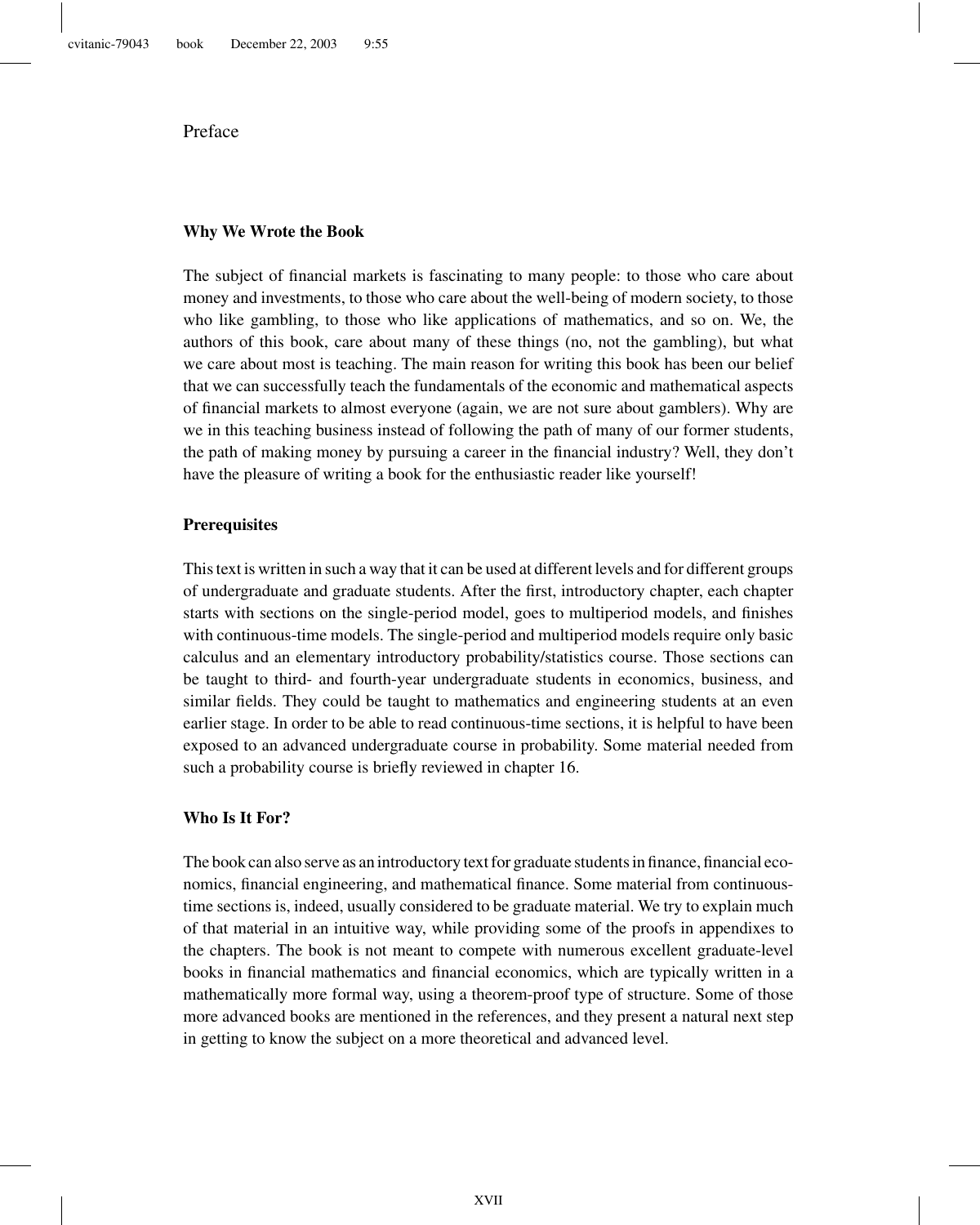Preface

## **Why We Wrote the Book**

The subject of financial markets is fascinating to many people: to those who care about money and investments, to those who care about the well-being of modern society, to those who like gambling, to those who like applications of mathematics, and so on. We, the authors of this book, care about many of these things (no, not the gambling), but what we care about most is teaching. The main reason for writing this book has been our belief that we can successfully teach the fundamentals of the economic and mathematical aspects of financial markets to almost everyone (again, we are not sure about gamblers). Why are [we in this teaching business instead of following the path of many of our former students,](#page--1-0) the path of making money by pursuing a career in the financial industry? Well, they don't have the pleasure of writing a book for the enthusiastic reader like yourself!

# **Prerequisites**

This text is written in such a way that it can be used at different levels and for different groups of undergraduate and graduate students. After the first, introductory chapter, each chapter starts with sections on the single-period model, goes to multiperiod models, and finishes with continuous-time models. The single-period and multiperiod models require only basic calculus and an elementary introductory probability/statistics course. Those sections can be taught to third- and fourth-year undergraduate students in economics, business, and similar fields. They could be taught to mathematics and engineering students at an even earlier stage. In order to be able to read continuous-time sections, it is helpful to have been exposed to an advanced undergraduate course in probability. Some material needed from such a probability course is briefly reviewed in chapter 16.

## **Who Is It For?**

The book can also serve as an introductory text for graduate students in finance, financial economics, financial engineering, and mathematical finance. Some material from continuoustime sections is, indeed, usually considered to be graduate material. We try to explain much of that material in an intuitive way, while providing some of the proofs in appendixes to the chapters. The book is not meant to compete with numerous excellent graduate-level books in financial mathematics and financial economics, which are typically written in a mathematically more formal way, using a theorem-proof type of structure. Some of those more advanced books are mentioned in the references, and they present a natural next step in getting to know the subject on a more theoretical and advanced level.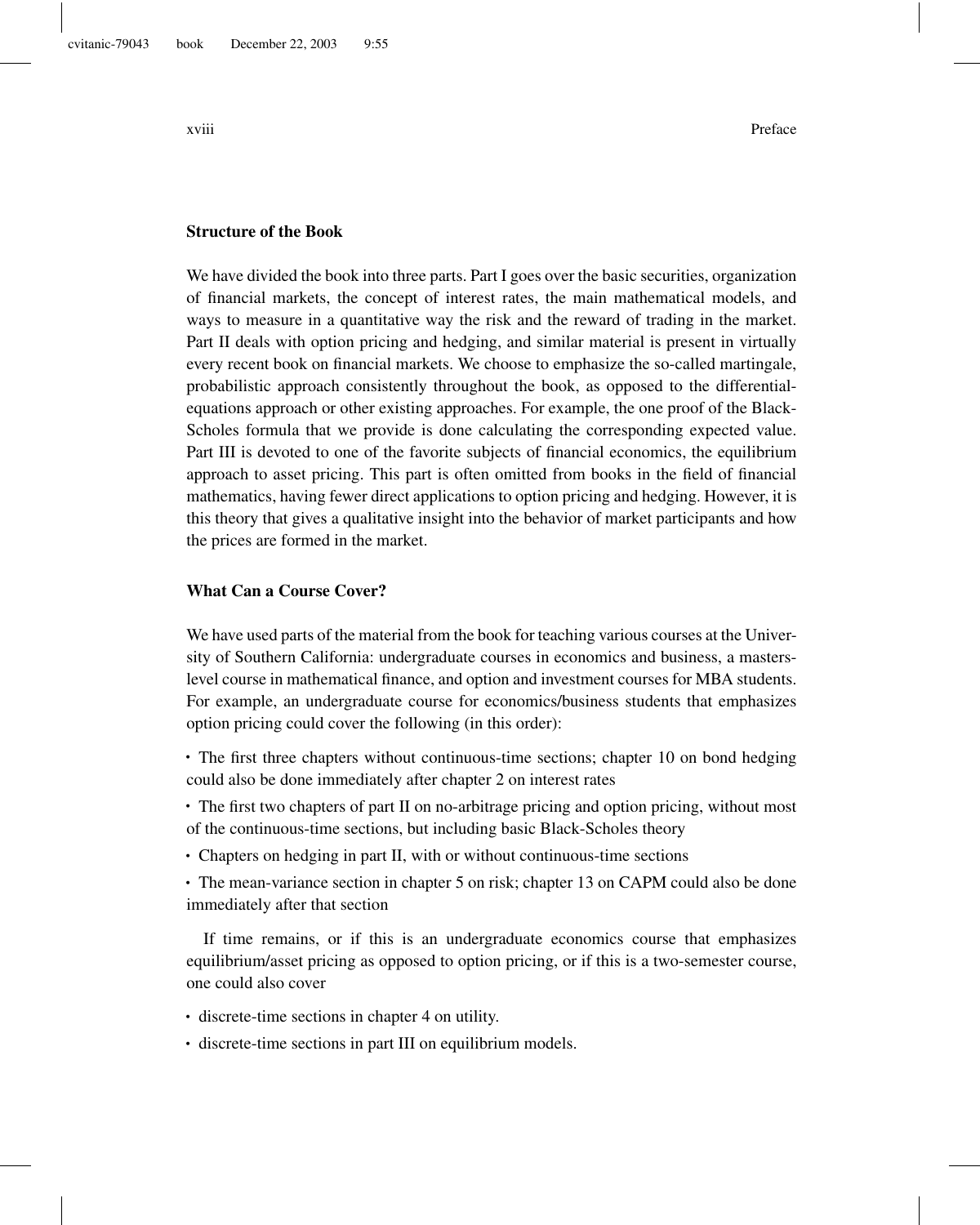### **Structure of the Book**

We have divided the book into three parts. Part I goes over the basic securities, organization of financial markets, the concept of interest rates, the main mathematical models, and ways to measure in a quantitative way the risk and the reward of trading in the market. Part II deals with option pricing and hedging, and similar material is present in virtually every recent book on financial markets. We choose to emphasize the so-called martingale, probabilistic approach consistently throughout the book, as opposed to the differentialequations approach or other existing approaches. For example, the one proof of the Black-Scholes formula that we provide is done calculating the corresponding expected value. Part III is devoted to one of the favorite subjects of financial economics, the equilibrium approach to asset pricing. This part is often omitted from books in the field of financial mathematics, having fewer direct applications to option pricing and hedging. However, it is this theory that gives a qualitative insight into the behavior of market participants and how the prices are formed in the market.

#### **What Can a Course Cover?**

We have used parts of the material from the book for teaching various courses at the University of Southern California: undergraduate courses in economics and business, a masterslevel course in mathematical finance, and option and investment courses for MBA students. For example, an undergraduate course for economics/business students that emphasizes option pricing could cover the following (in this order):

- The first three chapters without continuous-time sections; chapter 10 on bond hedging could also be done immediately after chapter 2 on interest rates
- The first two chapters of part II on no-arbitrage pricing and option pricing, without most of the continuous-time sections, but including basic Black-Scholes theory
- Chapters on hedging in part II, with or without continuous-time sections
- The mean-variance section in chapter 5 on risk; chapter 13 on CAPM could also be done immediately after that section

If time remains, or if this is an undergraduate economics course that emphasizes equilibrium/asset pricing as opposed to option pricing, or if this is a two-semester course, one could also cover

- discrete-time sections in chapter 4 on utility.
- discrete-time sections in part III on equilibrium models.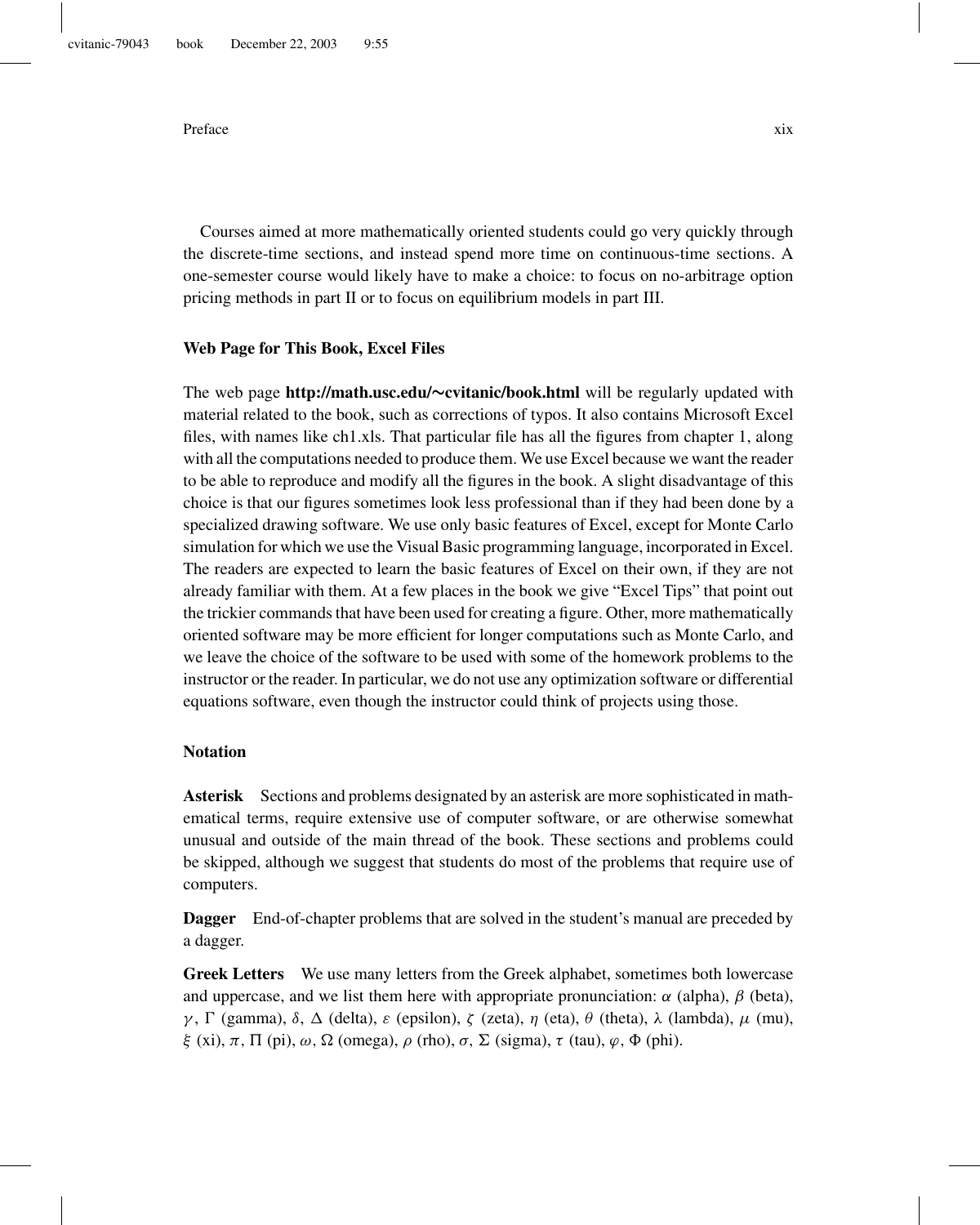Courses aimed at more mathematically oriented students could go very quickly through the discrete-time sections, and instead spend more time on continuous-time sections. A one-semester course would likely have to make a choice: to focus on no-arbitrage option pricing methods in part II or to focus on equilibrium models in part III.

# **Web Page for This Book, Excel Files**

The web page **http://math.usc.edu/∼cvitanic/book.html** will be regularly updated with material related to the book, such as corrections of typos. It also contains Microsoft Excel files, with names like ch1.xls. That particular file has all the figures from chapter 1, along with all the computations needed to produce them. We use Excel because we want the reader to be able to reproduce and modify all the figures in the book. A slight disadvantage of this choice is that our figures sometimes look less professional than if they had been done by a specialized drawing software. We use only basic features of Excel, except for Monte Carlo simulation for which we use the Visual Basic programming language, incorporated in Excel. The readers are expected to learn the basic features of Excel on their own, if they are not already familiar with them. At a few places in the book we give "Excel Tips" that point out the trickier commands that have been used for creating a figure. Other, more mathematically oriented software may be more efficient for longer computations such as Monte Carlo, and we leave the choice of the software to be used with some of the homework problems to the instructor or the reader. In particular, we do not use any optimization software or differential equations software, even though the instructor could think of projects using those.

## **Notation**

**Asterisk** Sections and problems designated by an asterisk are more sophisticated in mathematical terms, require extensive use of computer software, or are otherwise somewhat unusual and outside of the main thread of the book. These sections and problems could be skipped, although we suggest that students do most of the problems that require use of computers.

**Dagger** End-of-chapter problems that are solved in the student's manual are preceded by a dagger.

**Greek Letters** We use many letters from the Greek alphabet, sometimes both lowercase and uppercase, and we list them here with appropriate pronunciation:  $\alpha$  (alpha),  $\beta$  (beta), γ, Γ (gamma), δ, Δ (delta), ε (epsilon), ζ (zeta), η (eta), θ (theta), λ (lambda),  $\mu$  (mu), ξ (xi), π, Π (pi), ω, Ω (omega),  $ρ$  (rho),  $σ$ , Σ (sigma), τ (tau),  $φ$ , Φ (phi).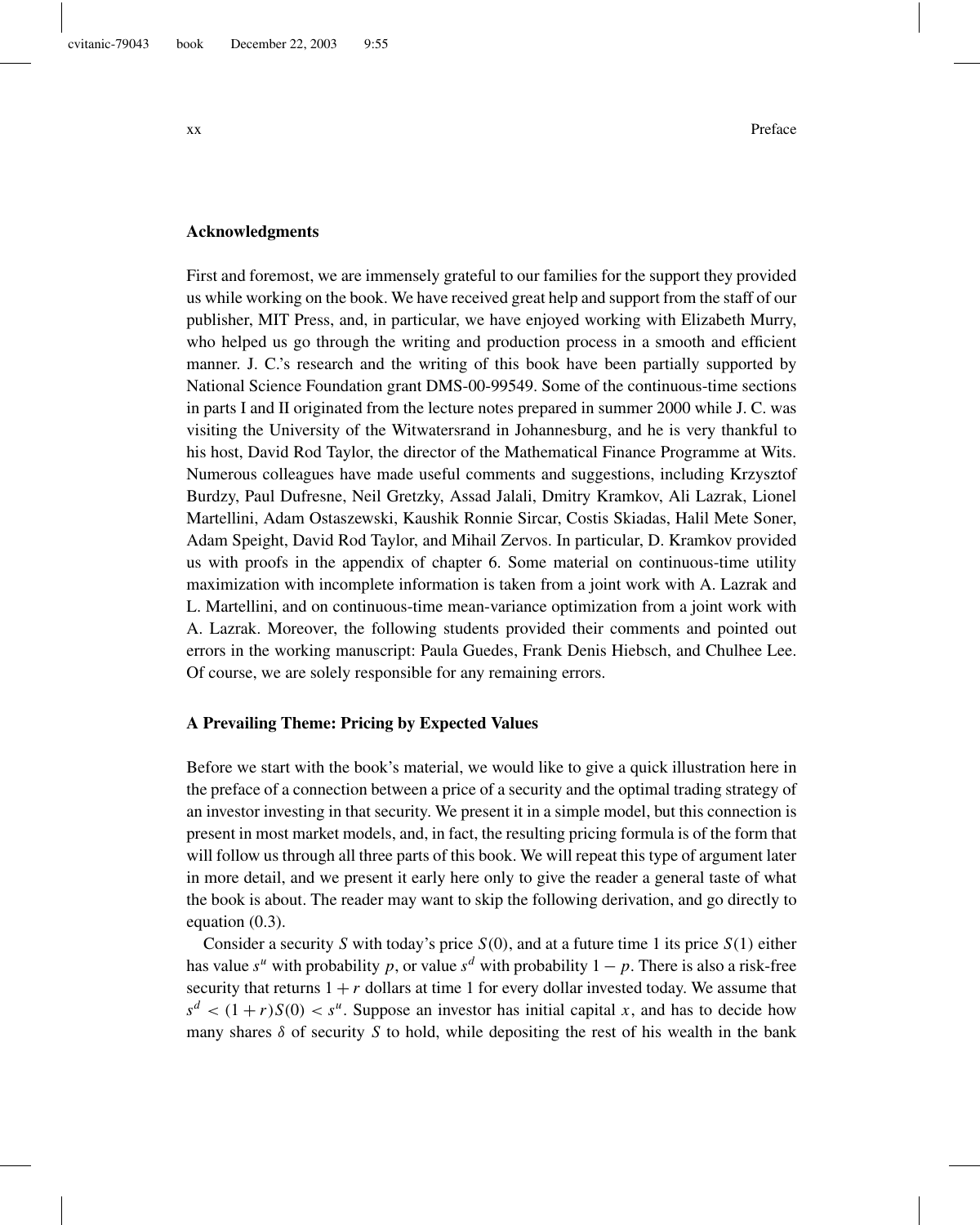### **Acknowledgments**

First and foremost, we are immensely grateful to our families for the support they provided us while working on the book. We have received great help and support from the staff of our publisher, MIT Press, and, in particular, we have enjoyed working with Elizabeth Murry, who helped us go through the writing and production process in a smooth and efficient manner. J. C.'s research and the writing of this book have been partially supported by National Science Foundation grant DMS-00-99549. Some of the continuous-time sections in parts I and II originated from the lecture notes prepared in summer 2000 while J. C. was visiting the University of the Witwatersrand in Johannesburg, and he is very thankful to his host, David Rod Taylor, the director of the Mathematical Finance Programme at Wits. Numerous colleagues have made useful comments and suggestions, including Krzysztof Burdzy, Paul Dufresne, Neil Gretzky, Assad Jalali, Dmitry Kramkov, Ali Lazrak, Lionel Martellini, Adam Ostaszewski, Kaushik Ronnie Sircar, Costis Skiadas, Halil Mete Soner, Adam Speight, David Rod Taylor, and Mihail Zervos. In particular, D. Kramkov provided us with proofs in the appendix of chapter 6. Some material on continuous-time utility maximization with incomplete information is taken from a joint work with A. Lazrak and L. Martellini, and on continuous-time mean-variance optimization from a joint work with A. Lazrak. Moreover, the following students provided their comments and pointed out errors in the working manuscript: Paula Guedes, Frank Denis Hiebsch, and Chulhee Lee. Of course, we are solely responsible for any remaining errors.

#### **A Prevailing Theme: Pricing by Expected Values**

Before we start with the book's material, we would like to give a quick illustration here in the preface of a connection between a price of a security and the optimal trading strategy of an investor investing in that security. We present it in a simple model, but this connection is present in most market models, and, in fact, the resulting pricing formula is of the form that will follow us through all three parts of this book. We will repeat this type of argument later in more detail, and we present it early here only to give the reader a general taste of what the book is about. The reader may want to skip the following derivation, and go directly to equation (0.3).

Consider a security *S* with today's price *S*(0), and at a future time 1 its price *S*(1) either has value  $s^u$  with probability *p*, or value  $s^d$  with probability 1 − *p*. There is also a risk-free security that returns  $1 + r$  dollars at time 1 for every dollar invested today. We assume that  $s^d$  <  $(1 + r)S(0)$  < *s<sup>u</sup>*. Suppose an investor has initial capital *x*, and has to decide how many shares  $\delta$  of security *S* to hold, while depositing the rest of his wealth in the bank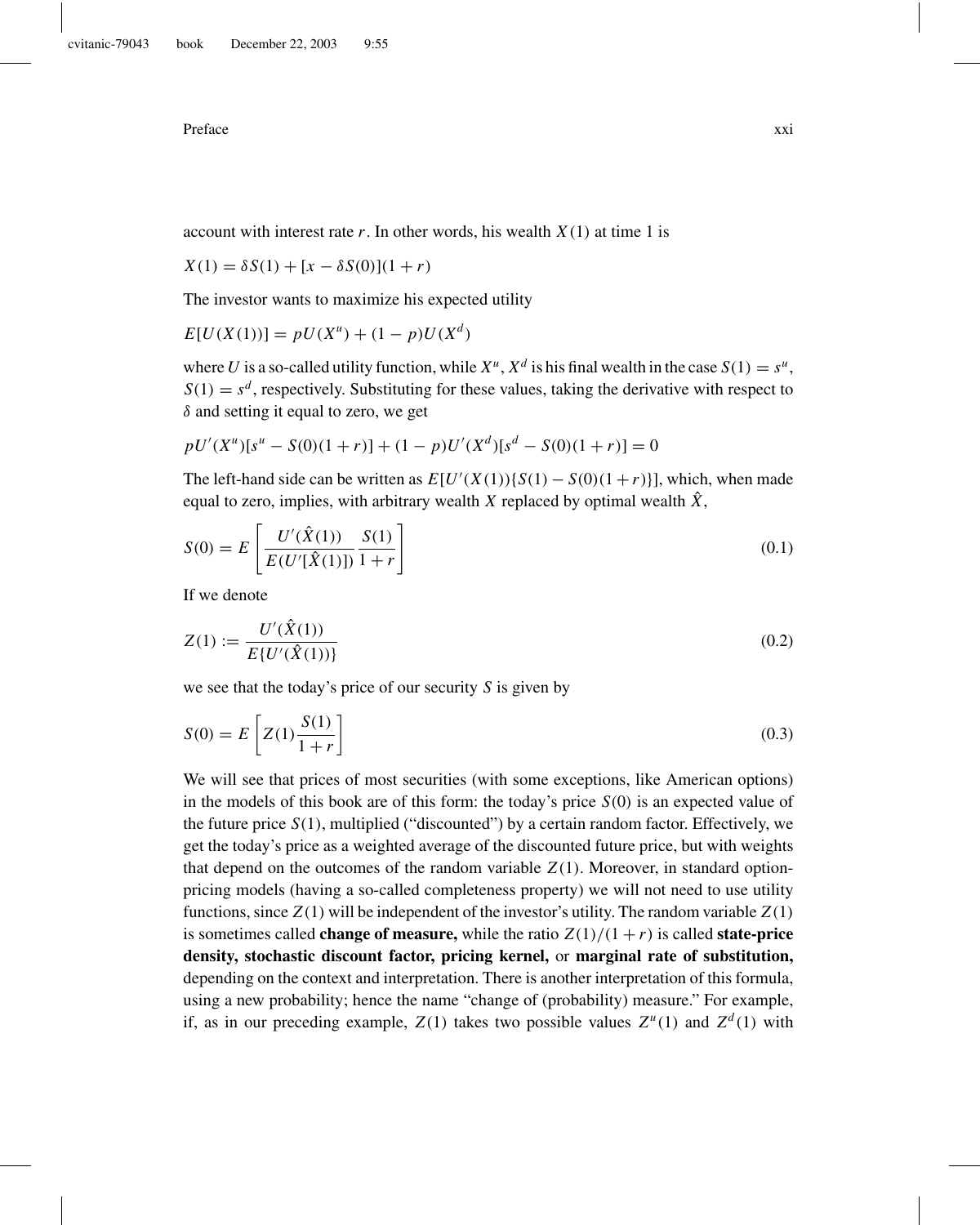account with interest rate  $r$ . In other words, his wealth  $X(1)$  at time 1 is

$$
X(1) = \delta S(1) + [x - \delta S(0)](1+r)
$$

The investor wants to maximize his expected utility

$$
E[U(X(1))] = pU(X^{u}) + (1 - p)U(X^{d})
$$

where *U* is a so-called utility function, while  $X^u$ ,  $X^d$  is his final wealth in the case  $S(1) = s^u$ ,  $S(1) = s<sup>d</sup>$ , respectively. Substituting for these values, taking the derivative with respect to  $\delta$  and setting it equal to zero, we get

$$
pU'(X^u)[s^u - S(0)(1+r)] + (1-p)U'(X^d)[s^d - S(0)(1+r)] = 0
$$

The left-hand side can be written as  $E[U'(X(1))\{S(1) - S(0)(1+r)\}]$ , which, when made equal to zero, implies, with arbitrary wealth *X* replaced by optimal wealth  $\hat{X}$ ,

$$
S(0) = E\left[\frac{U'(\hat{X}(1))}{E(U'[\hat{X}(1)])} \frac{S(1)}{1+r}\right]
$$
(0.1)

If we denote

$$
Z(1) := \frac{U'(\hat{X}(1))}{E\{U'(\hat{X}(1))\}}
$$
(0.2)

we see that the today's price of our security *S* is given by

$$
S(0) = E\left[Z(1)\frac{S(1)}{1+r}\right] \tag{0.3}
$$

We will see that prices of most securities (with some exceptions, like American options) in the models of this book are of this form: the today's price *S*(0) is an expected value of the future price  $S(1)$ , multiplied ("discounted") by a certain random factor. Effectively, we get the today's price as a weighted average of the discounted future price, but with weights that depend on the outcomes of the random variable  $Z(1)$ . Moreover, in standard optionpricing models (having a so-called completeness property) we will not need to use utility functions, since  $Z(1)$  will be independent of the investor's utility. The random variable  $Z(1)$ is sometimes called **change of measure,** while the ratio  $Z(1)/(1 + r)$  is called **state-price density, stochastic discount factor, pricing kernel,** or **marginal rate of substitution,** depending on the context and interpretation. There is another interpretation of this formula, using a new probability; hence the name "change of (probability) measure." For example, if, as in our preceding example,  $Z(1)$  takes two possible values  $Z^u(1)$  and  $Z^d(1)$  with